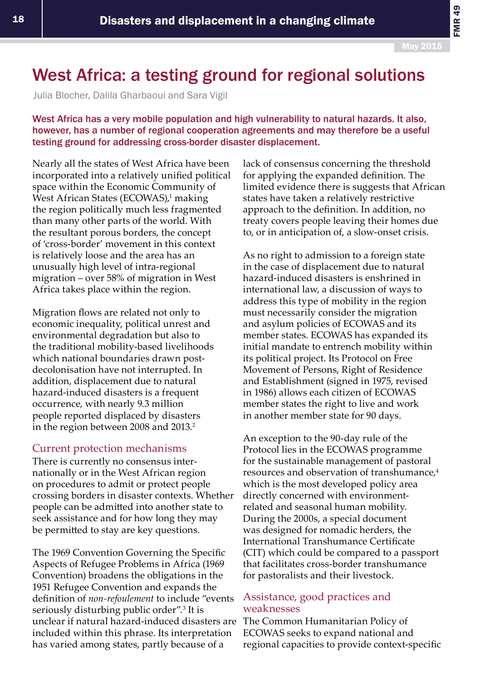FMR 49

# West Africa: a testing ground for regional solutions

Julia Blocher, Dalila Gharbaoui and Sara Vigil

West Africa has a very mobile population and high vulnerability to natural hazards. It also, however, has a number of regional cooperation agreements and may therefore be a useful testing ground for addressing cross-border disaster displacement.

Nearly all the states of West Africa have been incorporated into a relatively unified political space within the Economic Community of West African States (ECOWAS),<sup>1</sup> making the region politically much less fragmented than many other parts of the world. With the resultant porous borders, the concept of 'cross-border' movement in this context is relatively loose and the area has an unusually high level of intra-regional migration – over 58% of migration in West Africa takes place within the region.

Migration flows are related not only to economic inequality, political unrest and environmental degradation but also to the traditional mobility-based livelihoods which national boundaries drawn postdecolonisation have not interrupted. In addition, displacement due to natural hazard-induced disasters is a frequent occurrence, with nearly 9.3 million people reported displaced by disasters in the region between 2008 and 2013.<sup>2</sup>

## Current protection mechanisms

There is currently no consensus internationally or in the West African region on procedures to admit or protect people crossing borders in disaster contexts. Whether people can be admitted into another state to seek assistance and for how long they may be permitted to stay are key questions.

The 1969 Convention Governing the Specific Aspects of Refugee Problems in Africa (1969 Convention) broadens the obligations in the 1951 Refugee Convention and expands the definition of *non-refoulement* to include "events seriously disturbing public order".3 It is unclear if natural hazard-induced disasters are included within this phrase. Its interpretation has varied among states, partly because of a

lack of consensus concerning the threshold for applying the expanded definition. The limited evidence there is suggests that African states have taken a relatively restrictive approach to the definition. In addition, no treaty covers people leaving their homes due to, or in anticipation of, a slow-onset crisis.

As no right to admission to a foreign state in the case of displacement due to natural hazard-induced disasters is enshrined in international law, a discussion of ways to address this type of mobility in the region must necessarily consider the migration and asylum policies of ECOWAS and its member states. ECOWAS has expanded its initial mandate to entrench mobility within its political project. Its Protocol on Free Movement of Persons, Right of Residence and Establishment (signed in 1975, revised in 1986) allows each citizen of ECOWAS member states the right to live and work in another member state for 90 days.

An exception to the 90-day rule of the Protocol lies in the ECOWAS programme for the sustainable management of pastoral resources and observation of transhumance,<sup>4</sup> which is the most developed policy area directly concerned with environmentrelated and seasonal human mobility. During the 2000s, a special document was designed for nomadic herders, the International Transhumance Certificate (CIT) which could be compared to a passport that facilitates cross-border transhumance for pastoralists and their livestock.

# Assistance, good practices and weaknesses

The Common Humanitarian Policy of ECOWAS seeks to expand national and regional capacities to provide context-specific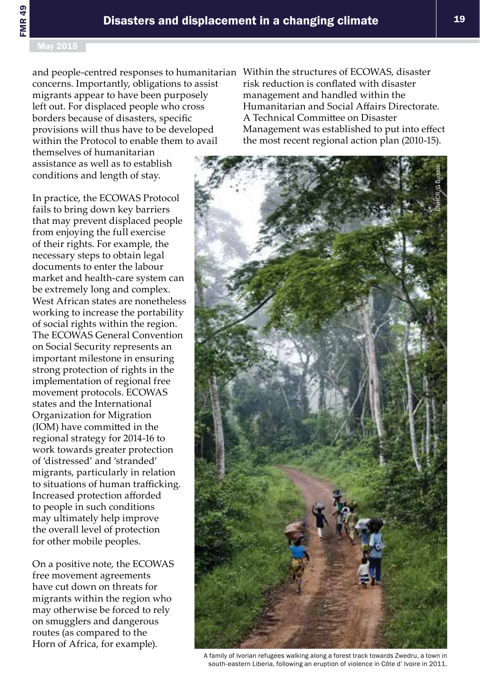and people-centred responses to humanitarian Within the structures of ECOWAS, disaster concerns. Importantly, obligations to assist migrants appear to have been purposely left out. For displaced people who cross borders because of disasters, specific provisions will thus have to be developed within the Protocol to enable them to avail

themselves of humanitarian assistance as well as to establish conditions and length of stay.

In practice, the ECOWAS Protocol fails to bring down key barriers that may prevent displaced people from enjoying the full exercise of their rights. For example, the necessary steps to obtain legal documents to enter the labour market and health-care system can be extremely long and complex. West African states are nonetheless working to increase the portability of social rights within the region. The ECOWAS General Convention on Social Security represents an important milestone in ensuring strong protection of rights in the implementation of regional free movement protocols. ECOWAS states and the International Organization for Migration (IOM) have committed in the regional strategy for 2014-16 to work towards greater protection of 'distressed' and 'stranded' migrants, particularly in relation to situations of human trafficking. Increased protection afforded to people in such conditions may ultimately help improve the overall level of protection for other mobile peoples.

On a positive note, the ECOWAS free movement agreements have cut down on threats for migrants within the region who may otherwise be forced to rely on smugglers and dangerous routes (as compared to the Horn of Africa, for example).

risk reduction is conflated with disaster management and handled within the Humanitarian and Social Affairs Directorate. A Technical Committee on Disaster Management was established to put into effect the most recent regional action plan (2010-15).



A family of Ivorian refugees walking along a forest track towards Zwedru, a town in